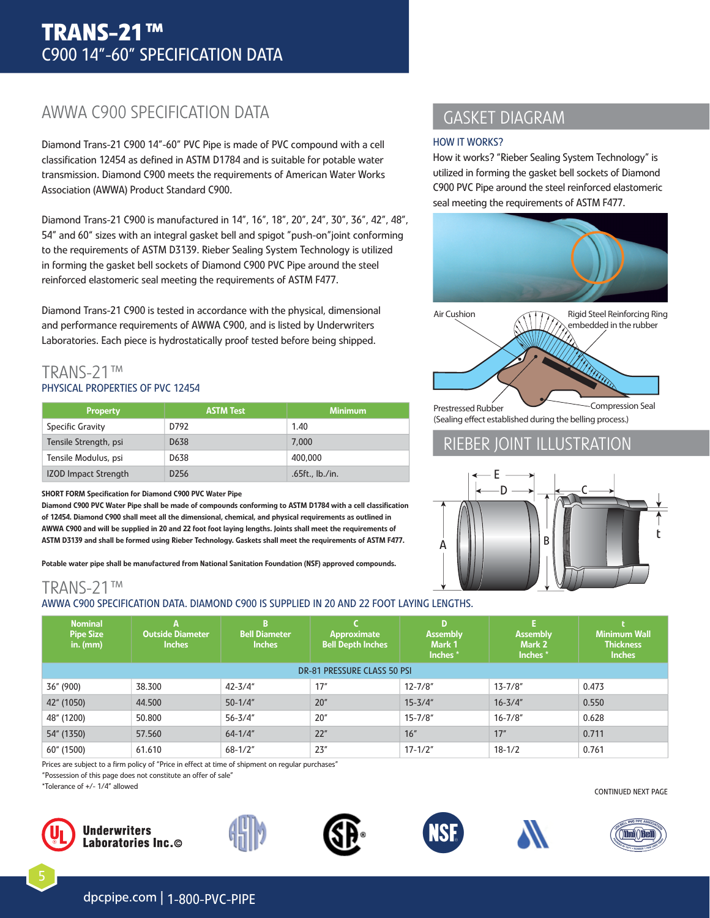# AWWA C900 SPECIFICATION DATA

Diamond Trans-21 C900 14"-60" PVC Pipe is made of PVC compound with a cell classifcation 12454 as defned in ASTM D1784 and is suitable for potable water transmission. Diamond C900 meets the requirements of American Water Works Association (AWWA) Product Standard C900.

Diamond Trans-21 C900 is manufactured in 14", 16", 18", 20", 24", 30", 36", 42", 48", 54" and 60" sizes with an integral gasket bell and spigot "push-on"joint conforming to the requirements of ASTM D3139. Rieber Sealing System Technology is utilized in forming the gasket bell sockets of Diamond C900 PVC Pipe around the steel reinforced elastomeric seal meeting the requirements of ASTM F477.

Diamond Trans-21 C900 is tested in accordance with the physical, dimensional and performance requirements of AWWA C900, and is listed by Underwriters Laboratories. Each piece is hydrostatically proof tested before being shipped.

## TRANS-21™ PHYSICAL PROPERTIES OF PVC 12454

| <b>Property</b>             | <b>ASTM Test</b>  | <b>Minimum</b>  |
|-----------------------------|-------------------|-----------------|
| Specific Gravity            | D792              | 1.40            |
| Tensile Strength, psi       | D <sub>6</sub> 38 | 7.000           |
| Tensile Modulus, psi        | D638              | 400,000         |
| <b>IZOD Impact Strength</b> | D <sub>256</sub>  | .65ft., lb./in. |

#### SHORT FORM Specification for Diamond C900 PVC Water Pipe

Diamond C900 PVC Water Pipe shall be made of compounds conforming to ASTM D1784 with a cell classifcation of 12454. Diamond C900 shall meet all the dimensional, chemical, and physical requirements as outlined in AWWA C900 and will be supplied in 20 and 22 foot foot laying lengths. Joints shall meet the requirements of ASTM D3139 and shall be formed using Rieber Technology. Gaskets shall meet the requirements of ASTM F477.

Potable water pipe shall be manufactured from National Sanitation Foundation (NSF) approved compounds.

# TRANS-21™

#### AWWA C900 SPECIFICATION DATA. DIAMOND C900 IS SUPPLIED IN 20 AND 22 FOOT LAYING LENGTHS.

# GASKET DIAGRAM

#### HOW IT WORKS?

How it works? "Rieber Sealing System Technology" is utilized in forming the gasket bell sockets of Diamond C900 PVC Pipe around the steel reinforced elastomeric seal meeting the requirements of ASTM F477.





Prestressed Rubber (Sealing efect established during the belling process.)

## RIEBER JOINT ILLUSTRATION



| <b>Nominal</b><br><b>Pipe Size</b><br>in. $(mm)$ | <b>Outside Diameter</b><br><b>Inches</b> | B.<br><b>Bell Diameter</b><br><b>Inches</b> | Approximate<br><b>Bell Depth Inches</b> | D<br><b>Assembly</b><br>Mark 1<br>Inches* | F.<br><b>Assembly</b><br>Mark 2<br>Inches <sup>*</sup> | <b>Minimum Wall</b><br><b>Thickness</b><br><b>Inches</b> |  |
|--------------------------------------------------|------------------------------------------|---------------------------------------------|-----------------------------------------|-------------------------------------------|--------------------------------------------------------|----------------------------------------------------------|--|
| <b>DR-81 PRESSURE CLASS 50 PSI</b>               |                                          |                                             |                                         |                                           |                                                        |                                                          |  |
| 36" (900)                                        | 38.300                                   | $42 - 3/4"$                                 | 17"                                     | $12 - 7/8$ "                              | $13 - 7/8"$                                            | 0.473                                                    |  |
| 42" (1050)                                       | 44.500                                   | $50 - 1/4"$                                 | 20"                                     | $15 - 3/4"$                               | $16 - 3/4"$                                            | 0.550                                                    |  |
| 48" (1200)                                       | 50.800                                   | $56 - 3/4"$                                 | 20"                                     | $15 - 7/8"$                               | $16 - 7/8$ "                                           | 0.628                                                    |  |
| 54" (1350)                                       | 57.560                                   | $64 - 1/4$ "                                | 22"                                     | 16"                                       | 17"                                                    | 0.711                                                    |  |
| 60" (1500)                                       | 61.610                                   | $68 - 1/2"$                                 | 23"                                     | $17 - 1/2"$                               | $18 - 1/2$                                             | 0.761                                                    |  |

Prices are subject to a firm policy of "Price in effect at time of shipment on regular purchases

"Possession of this page does not constitute an offer of sale"

\*Tolerance of +/- 1/4" allowed



5













CONTINUED NEXT PAGE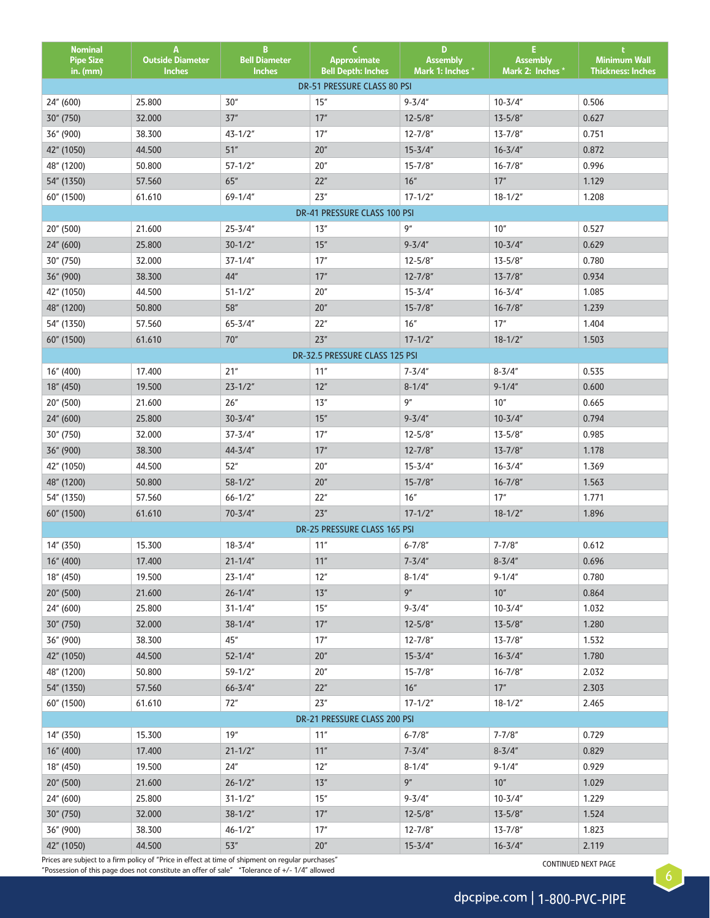| <b>Nominal</b><br><b>Pipe Size</b><br>in. (mm) | A<br><b>Outside Diameter</b><br><b>Inches</b> | B.<br><b>Bell Diameter</b><br><b>Inches</b> | C.<br>Approximate<br><b>Bell Depth: Inches</b> | D<br><b>Assembly</b><br>Mark 1: Inches * | E.<br><b>Assembly</b><br>Mark 2: Inches * | <b>Minimum Wall</b><br><b>Thickness: Inches</b> |
|------------------------------------------------|-----------------------------------------------|---------------------------------------------|------------------------------------------------|------------------------------------------|-------------------------------------------|-------------------------------------------------|
|                                                |                                               |                                             | DR-51 PRESSURE CLASS 80 PSI                    |                                          |                                           |                                                 |
| 24" (600)                                      | 25.800                                        | 30"                                         | 15"                                            | $9 - 3/4"$                               | $10 - 3/4"$                               | 0.506                                           |
| 30" (750)                                      | 32.000                                        | $37"$                                       | 17"                                            | $12 - 5/8"$                              | $13 - 5/8$ "                              | 0.627                                           |
| 36" (900)                                      | 38.300                                        | $43 - 1/2"$                                 | 17"                                            | $12 - 7/8"$                              | $13 - 7/8"$                               | 0.751                                           |
| 42" (1050)                                     | 44.500                                        | 51"                                         | 20"                                            | $15 - 3/4"$                              | $16 - 3/4"$                               | 0.872                                           |
| 48" (1200)                                     | 50.800                                        | $57 - 1/2"$                                 | $20"$                                          | $15 - 7/8"$                              | $16 - 7/8"$                               | 0.996                                           |
| 54" (1350)                                     | 57.560                                        | $65''$                                      | 22"                                            | $16''$                                   | 17"                                       | 1.129                                           |
| 60" (1500)                                     | 61.610                                        | $69 - 1/4"$                                 | 23"                                            | $17 - 1/2"$                              | $18 - 1/2"$                               | 1.208                                           |
|                                                |                                               |                                             | DR-41 PRESSURE CLASS 100 PSI                   |                                          |                                           |                                                 |
| 20" (500)                                      | 21.600                                        | $25 - 3/4"$                                 | 13"                                            | 9''                                      | 10"                                       | 0.527                                           |
| 24" (600)                                      | 25.800                                        | $30 - 1/2"$                                 | 15"                                            | $9 - 3/4"$                               | $10 - 3/4"$                               | 0.629                                           |
| 30" (750)                                      | 32.000                                        | $37 - 1/4"$                                 | 17"                                            | $12 - 5/8"$                              | $13 - 5/8"$                               | 0.780                                           |
| 36" (900)                                      | 38.300                                        | $44^{\prime\prime}$                         | 17"                                            | $12 - 7/8"$                              | $13 - 7/8$ "                              | 0.934                                           |
| 42" (1050)                                     | 44.500                                        | $51 - 1/2"$                                 | $20"$                                          | $15 - 3/4"$                              | $16 - 3/4"$                               | 1.085                                           |
| 48" (1200)                                     | 50.800                                        | $58^{\prime\prime}$                         | $20''$                                         | $15 - 7/8"$                              | $16 - 7/8$ "                              | 1.239                                           |
| 54" (1350)                                     | 57.560                                        | $65 - 3/4"$                                 | 22"                                            | 16"                                      | 17''                                      | 1.404                                           |
| 60" (1500)                                     | 61.610                                        | 70"                                         | 23"                                            | $17 - 1/2"$                              | $18 - 1/2"$                               | 1.503                                           |
|                                                |                                               |                                             | DR-32.5 PRESSURE CLASS 125 PSI                 |                                          |                                           |                                                 |
| 16" (400)                                      | 17.400                                        | 21"                                         | 11"                                            | $7 - 3/4"$                               | $8 - 3/4"$                                | 0.535                                           |
| 18" (450)                                      | 19.500                                        | $23 - 1/2"$                                 | 12"                                            | $8 - 1/4"$                               | $9 - 1/4"$                                | 0.600                                           |
| 20" (500)                                      | 21.600                                        | 26"                                         | 13"                                            | 9''                                      | 10"                                       | 0.665                                           |
| 24" (600)                                      | 25.800                                        | $30 - 3/4"$                                 | 15"                                            | $9 - 3/4"$                               | $10 - 3/4"$                               | 0.794                                           |
| 30" (750)                                      | 32.000                                        | $37 - 3/4"$                                 | 17"                                            | $12 - 5/8"$                              | $13 - 5/8"$                               | 0.985                                           |
| 36" (900)                                      | 38.300                                        | $44 - 3/4"$                                 | 17"                                            | $12 - 7/8"$                              | $13 - 7/8"$                               | 1.178                                           |
| 42" (1050)                                     | 44.500                                        | 52''                                        | $20"$                                          | $15 - 3/4"$                              | $16 - 3/4"$                               | 1.369                                           |
| 48" (1200)                                     | 50.800                                        | $58 - 1/2"$                                 | 20"                                            | $15 - 7/8"$                              | $16 - 7/8$ "                              | 1.563                                           |
| 54" (1350)                                     | 57.560                                        | $66 - 1/2"$                                 | 22"                                            | 16"                                      | 17''                                      | 1.771                                           |
| 60" (1500)                                     | 61.610                                        | $70 - 3/4"$                                 | 23"                                            | $17 - 1/2"$                              | $18 - 1/2"$                               | 1.896                                           |
|                                                |                                               |                                             | DR-25 PRESSURE CLASS 165 PSI                   |                                          |                                           |                                                 |
| 14" (350)                                      | 15.300                                        | $18 - 3/4"$                                 | 11"                                            | $6 - 7/8"$                               | $7 - 7/8"$                                | 0.612                                           |
| 16" (400)                                      | 17.400                                        | $21 - 1/4"$                                 | $11"$                                          | $7 - 3/4''$                              | $8 - 3/4"$                                | 0.696                                           |
| 18" (450)                                      | 19.500                                        | $23 - 1/4"$                                 | 12"                                            | $8 - 1/4"$                               | $9 - 1/4"$                                | 0.780                                           |
| 20" (500)                                      | 21.600                                        | $26 - 1/4"$                                 | 13"                                            | 9''                                      | 10"                                       | 0.864                                           |
| 24" (600)                                      | 25.800                                        | $31 - 1/4"$                                 | 15''                                           | $9 - 3/4"$                               | $10 - 3/4"$                               | 1.032                                           |
| 30" (750)                                      | 32.000                                        | $38 - 1/4"$                                 | 17"                                            | $12 - 5/8"$                              | $13 - 5/8"$                               | 1.280                                           |
| 36" (900)                                      | 38.300                                        | 45"<br>$52 - 1/4"$                          | 17"<br>20"                                     | $12 - 7/8"$<br>$15 - 3/4"$               | $13 - 7/8"$<br>$16 - 3/4"$                | 1.532<br>1.780                                  |
| 42" (1050)<br>48" (1200)                       | 44.500<br>50.800                              | $59 - 1/2"$                                 | 20"                                            | $15 - 7/8"$                              | $16 - 7/8"$                               | 2.032                                           |
|                                                | 57.560                                        | $66 - 3/4"$                                 | 22"                                            | $16''$                                   | 17"                                       | 2.303                                           |
| 54" (1350)<br>60" (1500)                       | 61.610                                        | 72"                                         | 23"                                            | $17 - 1/2"$                              | $18 - 1/2"$                               | 2.465                                           |
|                                                |                                               |                                             | DR-21 PRESSURE CLASS 200 PSI                   |                                          |                                           |                                                 |
| 14" (350)                                      | 15.300                                        | 19"                                         | 11"                                            | $6 - 7/8"$                               | $7 - 7/8"$                                | 0.729                                           |
| 16" (400)                                      | 17.400                                        | $21 - 1/2"$                                 | 11"                                            | $7 - 3/4"$                               | $8 - 3/4"$                                | 0.829                                           |
| 18" (450)                                      | 19.500                                        | 24"                                         | 12"                                            | $8 - 1/4"$                               | $9 - 1/4"$                                | 0.929                                           |
| 20" (500)                                      | 21.600                                        | $26 - 1/2"$                                 | 13"                                            | 9''                                      | $10"$                                     | 1.029                                           |
| 24" (600)                                      | 25.800                                        | $31 - 1/2"$                                 | 15"                                            | $9 - 3/4"$                               | $10 - 3/4"$                               | 1.229                                           |
| 30" (750)                                      | 32.000                                        | $38 - 1/2"$                                 | $17"$                                          | $12 - 5/8"$                              | $13 - 5/8"$                               | 1.524                                           |
| 36" (900)                                      | 38.300                                        | $46 - 1/2"$                                 | 17"                                            | $12 - 7/8"$                              | $13 - 7/8"$                               | 1.823                                           |
| 42" (1050)                                     | 44.500                                        | 53"                                         | 20"                                            | $15 - 3/4"$                              | $16 - 3/4"$                               | 2.119                                           |
|                                                |                                               |                                             |                                                |                                          |                                           |                                                 |

Prices are subject to a firm policy of "Price in effect at time of shipment on regular purchases"<br>"Possession of this page does not constitute an offer of sale" \*Tolerance of +/- 1/4" allowed

6